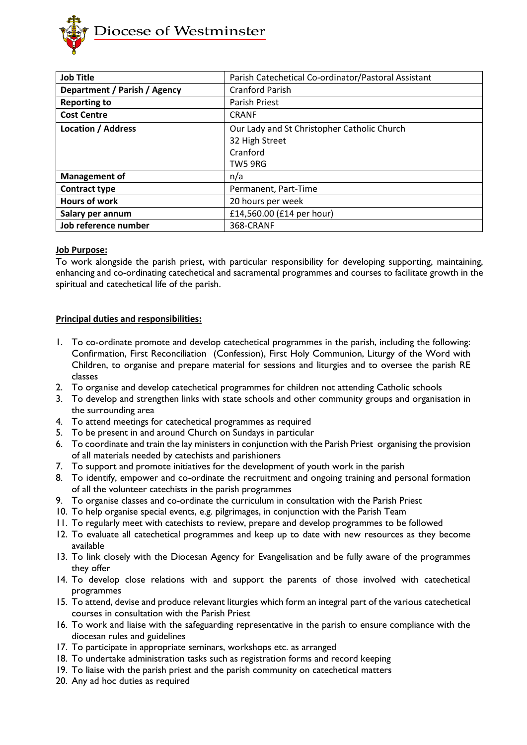

| <b>Job Title</b>             | Parish Catechetical Co-ordinator/Pastoral Assistant |
|------------------------------|-----------------------------------------------------|
| Department / Parish / Agency | <b>Cranford Parish</b>                              |
| <b>Reporting to</b>          | <b>Parish Priest</b>                                |
| <b>Cost Centre</b>           | <b>CRANF</b>                                        |
| <b>Location / Address</b>    | Our Lady and St Christopher Catholic Church         |
|                              | 32 High Street                                      |
|                              | Cranford                                            |
|                              | TW5 9RG                                             |
| <b>Management of</b>         | n/a                                                 |
| <b>Contract type</b>         | Permanent, Part-Time                                |
| <b>Hours of work</b>         | 20 hours per week                                   |
| Salary per annum             | £14,560.00 (£14 per hour)                           |
| Job reference number         | 368-CRANF                                           |

# **Job Purpose:**

To work alongside the parish priest, with particular responsibility for developing supporting, maintaining, enhancing and co-ordinating catechetical and sacramental programmes and courses to facilitate growth in the spiritual and catechetical life of the parish.

# **Principal duties and responsibilities:**

- 1. To co-ordinate promote and develop catechetical programmes in the parish, including the following: Confirmation, First Reconciliation (Confession), First Holy Communion, Liturgy of the Word with Children, to organise and prepare material for sessions and liturgies and to oversee the parish RE classes
- 2. To organise and develop catechetical programmes for children not attending Catholic schools
- 3. To develop and strengthen links with state schools and other community groups and organisation in the surrounding area
- 4. To attend meetings for catechetical programmes as required
- 5. To be present in and around Church on Sundays in particular
- 6. To coordinate and train the lay ministers in conjunction with the Parish Priest organising the provision of all materials needed by catechists and parishioners
- 7. To support and promote initiatives for the development of youth work in the parish
- 8. To identify, empower and co-ordinate the recruitment and ongoing training and personal formation of all the volunteer catechists in the parish programmes
- 9. To organise classes and co-ordinate the curriculum in consultation with the Parish Priest
- 10. To help organise special events, e.g. pilgrimages, in conjunction with the Parish Team
- 11. To regularly meet with catechists to review, prepare and develop programmes to be followed
- 12. To evaluate all catechetical programmes and keep up to date with new resources as they become available
- 13. To link closely with the Diocesan Agency for Evangelisation and be fully aware of the programmes they offer
- 14. To develop close relations with and support the parents of those involved with catechetical programmes
- 15. To attend, devise and produce relevant liturgies which form an integral part of the various catechetical courses in consultation with the Parish Priest
- 16. To work and liaise with the safeguarding representative in the parish to ensure compliance with the diocesan rules and guidelines
- 17. To participate in appropriate seminars, workshops etc. as arranged
- 18. To undertake administration tasks such as registration forms and record keeping
- 19. To liaise with the parish priest and the parish community on catechetical matters
- 20. Any ad hoc duties as required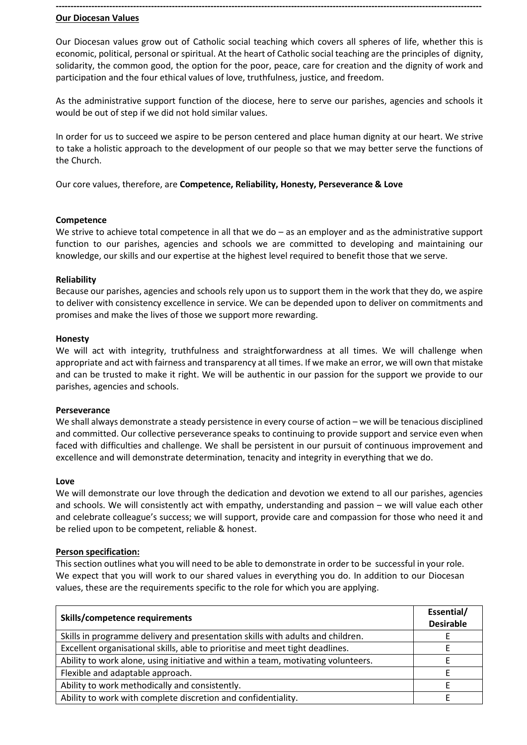# **Our Diocesan Values**

Our Diocesan values grow out of Catholic social teaching which covers all spheres of life, whether this is economic, political, personal or spiritual. At the heart of Catholic social teaching are the principles of dignity, solidarity, the common good, the option for the poor, peace, care for creation and the dignity of work and participation and the four ethical values of love, truthfulness, justice, and freedom.

**-----------------------------------------------------------------------------------------------------------------------------------------------**

As the administrative support function of the diocese, here to serve our parishes, agencies and schools it would be out of step if we did not hold similar values.

In order for us to succeed we aspire to be person centered and place human dignity at our heart. We strive to take a holistic approach to the development of our people so that we may better serve the functions of the Church.

Our core values, therefore, are **Competence, Reliability, Honesty, Perseverance & Love**

## **Competence**

We strive to achieve total competence in all that we do – as an employer and as the administrative support function to our parishes, agencies and schools we are committed to developing and maintaining our knowledge, our skills and our expertise at the highest level required to benefit those that we serve.

## **Reliability**

Because our parishes, agencies and schools rely upon us to support them in the work that they do, we aspire to deliver with consistency excellence in service. We can be depended upon to deliver on commitments and promises and make the lives of those we support more rewarding.

## **Honesty**

We will act with integrity, truthfulness and straightforwardness at all times. We will challenge when appropriate and act with fairness and transparency at all times. If we make an error, we will own that mistake and can be trusted to make it right. We will be authentic in our passion for the support we provide to our parishes, agencies and schools.

#### **Perseverance**

We shall always demonstrate a steady persistence in every course of action – we will be tenacious disciplined and committed. Our collective perseverance speaks to continuing to provide support and service even when faced with difficulties and challenge. We shall be persistent in our pursuit of continuous improvement and excellence and will demonstrate determination, tenacity and integrity in everything that we do.

#### **Love**

We will demonstrate our love through the dedication and devotion we extend to all our parishes, agencies and schools. We will consistently act with empathy, understanding and passion – we will value each other and celebrate colleague's success; we will support, provide care and compassion for those who need it and be relied upon to be competent, reliable & honest.

# **Person specification:**

This section outlines what you will need to be able to demonstrate in order to be successful in your role. We expect that you will work to our shared values in everything you do. In addition to our Diocesan values, these are the requirements specific to the role for which you are applying.

| Skills/competence requirements                                                    | Essential/<br><b>Desirable</b> |
|-----------------------------------------------------------------------------------|--------------------------------|
| Skills in programme delivery and presentation skills with adults and children.    |                                |
| Excellent organisational skills, able to prioritise and meet tight deadlines.     |                                |
| Ability to work alone, using initiative and within a team, motivating volunteers. |                                |
| Flexible and adaptable approach.                                                  |                                |
| Ability to work methodically and consistently.                                    |                                |
| Ability to work with complete discretion and confidentiality.                     |                                |